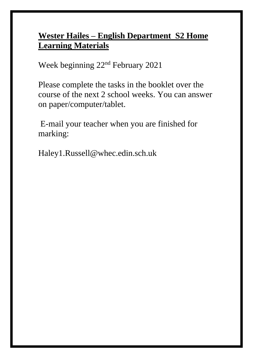## **Wester Hailes – English Department S2 Home Learning Materials**

Week beginning 22nd February 2021

Please complete the tasks in the booklet over the course of the next 2 school weeks. You can answer on paper/computer/tablet.

E-mail your teacher when you are finished for marking:

Haley1.Russell@whec.edin.sch.uk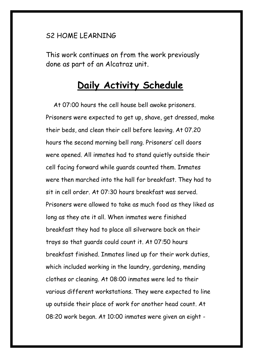## S2 HOME LEARNING

This work continues on from the work previously done as part of an Alcatraz unit.

## **Daily Activity Schedule**

At 07:00 hours the cell house bell awoke prisoners. Prisoners were expected to get up, shave, get dressed, make their beds, and clean their cell before leaving. At 07.20 hours the second morning bell rang. Prisoners' cell doors were opened. All inmates had to stand quietly outside their cell facing forward while guards counted them. Inmates were then marched into the hall for breakfast. They had to sit in cell order. At 07:30 hours breakfast was served. Prisoners were allowed to take as much food as they liked as long as they ate it all. When inmates were finished breakfast they had to place all silverware back on their trays so that guards could count it. At 07:50 hours breakfast finished. Inmates lined up for their work duties, which included working in the laundry, gardening, mending clothes or cleaning. At 08:00 inmates were led to their various different workstations. They were expected to line up outside their place of work for another head count. At 08:20 work began. At 10:00 inmates were given an eight -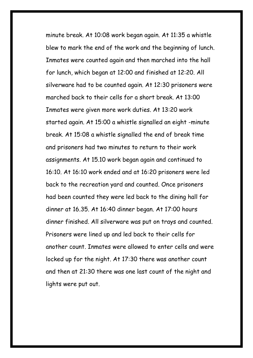minute break. At 10:08 work began again. At 11:35 a whistle blew to mark the end of the work and the beginning of lunch. Inmates were counted again and then marched into the hall for lunch, which began at 12:00 and finished at 12:20. All silverware had to be counted again. At 12:30 prisoners were marched back to their cells for a short break. At 13:00 Inmates were given more work duties. At 13:20 work started again. At 15:00 a whistle signalled an eight -minute break. At 15:08 a whistle signalled the end of break time and prisoners had two minutes to return to their work assignments. At 15.10 work began again and continued to 16:10. At 16:10 work ended and at 16:20 prisoners were led back to the recreation yard and counted. Once prisoners had been counted they were led back to the dining hall for dinner at 16.35. At 16:40 dinner began. At 17:00 hours dinner finished. All silverware was put on trays and counted. Prisoners were lined up and led back to their cells for another count. Inmates were allowed to enter cells and were locked up for the night. At 17:30 there was another count and then at 21:30 there was one last count of the night and lights were put out.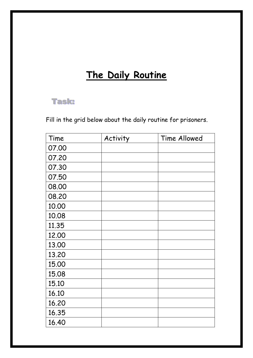# **The Daily Routine**

## Task:

Fill in the grid below about the daily routine for prisoners.

| Time  | Activity | Time Allowed |
|-------|----------|--------------|
| 07.00 |          |              |
| 07.20 |          |              |
| 07.30 |          |              |
| 07.50 |          |              |
| 08.00 |          |              |
| 08.20 |          |              |
| 10.00 |          |              |
| 10.08 |          |              |
| 11.35 |          |              |
| 12.00 |          |              |
| 13.00 |          |              |
| 13.20 |          |              |
| 15.00 |          |              |
| 15.08 |          |              |
| 15.10 |          |              |
| 16.10 |          |              |
| 16.20 |          |              |
| 16.35 |          |              |
| 16.40 |          |              |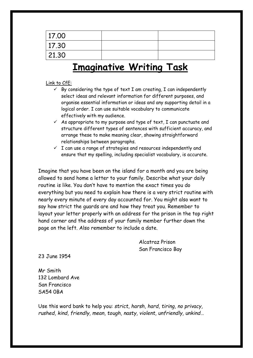| 17.00 |  |
|-------|--|
| 17.30 |  |
| 21.30 |  |

# **Imaginative Writing Task**

## Link to CfE:

- $\checkmark$  By considering the type of text I am creating, I can independently select ideas and relevant information for different purposes, and organise essential information or ideas and any supporting detail in a logical order. I can use suitable vocabulary to communicate effectively with my audience.
- $\checkmark$  As appropriate to my purpose and type of text, I can punctuate and structure different types of sentences with sufficient accuracy, and arrange these to make meaning clear, showing straightforward relationships between paragraphs.
- $\checkmark$  I can use a range of strategies and resources independently and ensure that my spelling, including specialist vocabulary, is accurate.

Imagine that you have been on the island for a month and you are being allowed to send home a letter to your family. Describe what your daily routine is like. You don't have to mention the exact times you do everything but you need to explain how there is a very strict routine with nearly every minute of every day accounted for. You might also want to say how strict the guards are and how they treat you. Remember to layout your letter properly with an address for the prison in the top right hand corner and the address of your family member further down the page on the left. Also remember to include a date.

> Alcatraz Prison San Francisco Bay

23 June 1954

Mr Smith 132 Lombard Ave San Francisco SA54 0BA

Use this word bank to help you: *strict, harsh, hard, tiring, no privacy, rushed, kind, friendly, mean, tough, nasty, violent, unfriendly, unkind*…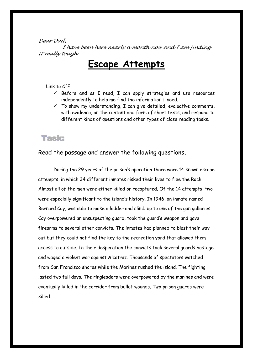#### *Dear Dad,*

 *I have been here nearly a month now and I am finding it really tough*

## **Escape Attempts**

#### Link to CfE:

- ✓ Before and as I read, I can apply strategies and use resources independently to help me find the information I need.
- $\checkmark$  To show my understanding, I can give detailed, evaluative comments, with evidence, on the content and form of short texts, and respond to different kinds of questions and other types of close reading tasks.

## Task:

Read the passage and answer the following questions.

During the 29 years of the prison's operation there were 14 known escape attempts, in which 34 different inmates risked their lives to flee the Rock. Almost all of the men were either killed or recaptured. Of the 14 attempts, two were especially significant to the island's history. In 1946, an inmate named Bernard Coy, was able to make a ladder and climb up to one of the gun galleries. Coy overpowered an unsuspecting guard, took the guard's weapon and gave firearms to several other convicts. The inmates had planned to blast their way out but they could not find the key to the recreation yard that allowed them access to outside. In their desperation the convicts took several guards hostage and waged a violent war against Alcatraz. Thousands of spectators watched from San Francisco shores while the Marines rushed the island. The fighting lasted two full days. The ringleaders were overpowered by the marines and were eventually killed in the corridor from bullet wounds. Two prison guards were killed.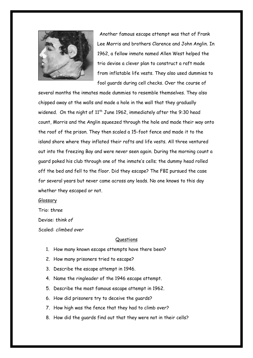

Another famous escape attempt was that of Frank Lee Morris and brothers Clarence and John Anglin. In 1962, a fellow inmate named Allen West helped the trio devise a clever plan to construct a raft made from inflatable life vests. They also used dummies to fool guards during cell checks. Over the course of

several months the inmates made dummies to resemble themselves. They also chipped away at the walls and made a hole in the wall that they gradually widened. On the night of  $11<sup>th</sup>$  June 1962, immediately after the 9:30 head count, Morris and the Anglin squeezed through the hole and made their way onto the roof of the prison. They then scaled a 15-foot fence and made it to the island shore where they inflated their rafts and life vests. All three ventured out into the freezing Bay and were never seen again. During the morning count a guard poked his club through one of the inmate's cells; the dummy head rolled off the bed and fell to the floor. Did they escape? The FBI pursued the case for several years but never came across any leads. No one knows to this day whether they escaped or not.

#### Glossary

Trio: *three*

Devise: *think of*

Scaled: *climbed over*

#### Questions

- 1. How many known escape attempts have there been?
- 2. How many prisoners tried to escape?
- 3. Describe the escape attempt in 1946.
- 4. Name the ringleader of the 1946 escape attempt.
- 5. Describe the most famous escape attempt in 1962.
- 6. How did prisoners try to deceive the guards?
- 7. How high was the fence that they had to climb over?
- 8. How did the guards find out that they were not in their cells?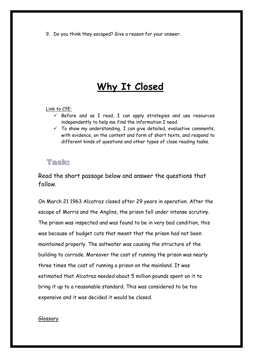9. Do you think they escaped? Give a reason for your answer.

# **Why It Closed**

## Link to CfE:

- $\checkmark$  Before and as I read, I can apply strategies and use resources independently to help me find the information I need.
- $\checkmark$  To show my understanding, I can give detailed, evaluative comments, with evidence, on the content and form of short texts, and respond to different kinds of questions and other types of close reading tasks.

## Task:

Read the short passage below and answer the questions that follow.

On March 21 1963 Alcatraz closed after 29 years in operation. After the escape of Morris and the Anglins, the prison fell under intense scrutiny. The prison was inspected and was found to be in very bad condition, this was because of budget cuts that meant that the prison had not been maintained properly. The saltwater was causing the structure of the building to corrode. Moreover the cost of running the prison was nearly three times the cost of running a prison on the mainland. It was estimated that Alcatraz needed about 5 million pounds spent on it to bring it up to a reasonable standard. This was considered to be too expensive and it was decided it would be closed.

## Glossary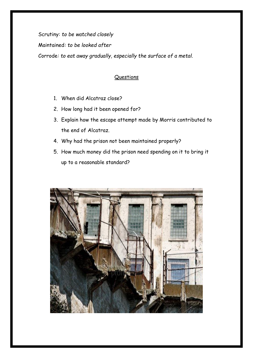Scrutiny: *to be watched closely*

Maintained*: to be looked after*

Corrode*: to eat away gradually, especially the surface of a metal.*

## **Questions**

- 1. When did Alcatraz close?
- 2. How long had it been opened for?
- 3. Explain how the escape attempt made by Morris contributed to the end of Alcatraz.
- 4. Why had the prison not been maintained properly?
- 5. How much money did the prison need spending on it to bring it up to a reasonable standard?

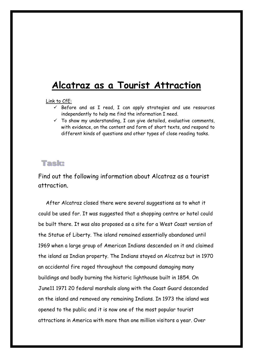## **Alcatraz as a Tourist Attraction**

### Link to CfE:

- $\checkmark$  Before and as I read, I can apply strategies and use resources independently to help me find the information I need.
- $\checkmark$  To show my understanding, I can give detailed, evaluative comments, with evidence, on the content and form of short texts, and respond to different kinds of questions and other types of close reading tasks.

## Task:

Find out the following information about Alcatraz as a tourist attraction.

After Alcatraz closed there were several suggestions as to what it could be used for. It was suggested that a shopping centre or hotel could be built there. It was also proposed as a site for a West Coast version of the Statue of Liberty. The island remained essentially abandoned until 1969 when a large group of American Indians descended on it and claimed the island as Indian property. The Indians stayed on Alcatraz but in 1970 an accidental fire raged throughout the compound damaging many buildings and badly burning the historic lighthouse built in 1854. On June11 1971 20 federal marshals along with the Coast Guard descended on the island and removed any remaining Indians. In 1973 the island was opened to the public and it is now one of the most popular tourist attractions in America with more than one million visitors a year. Over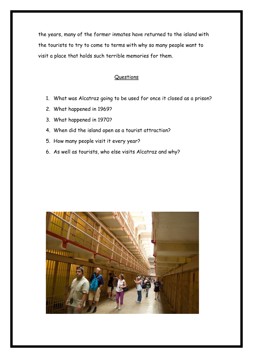the years, many of the former inmates have returned to the island with the tourists to try to come to terms with why so many people want to visit a place that holds such terrible memories for them.

## Questions

- 1. What was Alcatraz going to be used for once it closed as a prison?
- 2. What happened in 1969?
- 3. What happened in 1970?
- 4. When did the island open as a tourist attraction?
- 5. How many people visit it every year?
- 6. As well as tourists, who else visits Alcatraz and why?

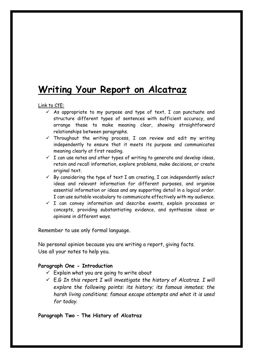# **Writing Your Report on Alcatraz**

### Link to CfE:

- $\checkmark$  As appropriate to my purpose and type of text, I can punctuate and structure different types of sentences with sufficient accuracy, and arrange these to make meaning clear, showing straightforward relationships between paragraphs.
- $\checkmark$  Throughout the writing process, I can review and edit my writing independently to ensure that it meets its purpose and communicates meaning clearly at first reading.
- $\checkmark$  I can use notes and other types of writing to generate and develop ideas, retain and recall information, explore problems, make decisions, or create original text.
- $\checkmark$  By considering the type of text I am creating, I can independently select ideas and relevant information for different purposes, and organise essential information or ideas and any supporting detail in a logical order. I can use suitable vocabulary to communicate effectively with my audience.
- $\checkmark$  I can convey information and describe events, explain processes or concepts, providing substantiating evidence, and synthesise ideas or opinions in different ways.

Remember to use only formal language.

No personal opinion because you are writing a report, giving facts. Use all your notes to help you.

## **Paragraph One - Introduction**

- $\checkmark$  Explain what you are going to write about
- $\checkmark$  E.G In this report I will investigate the history of Alcatraz. I will *explore the following points: its history; its famous inmates; the harsh living conditions; famous escape attempts and what it is used for today.*

## **Paragraph Two – The History of Alcatraz**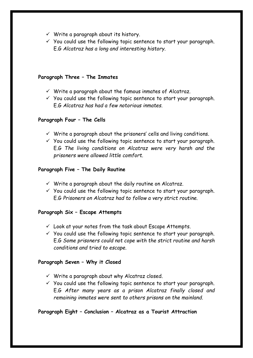- $\checkmark$  Write a paragraph about its history.
- $\checkmark$  You could use the following topic sentence to start your paragraph. E.G *Alcatraz has a long and interesting history.*

## **Paragraph Three – The Inmates**

- $\checkmark$  Write a paragraph about the famous inmates of Alcatraz.
- $\checkmark$  You could use the following topic sentence to start your paragraph. E.G *Alcatraz has had a few notorious inmates.*

## **Paragraph Four – The Cells**

- $\checkmark$  Write a paragraph about the prisoners' cells and living conditions.
- $\checkmark$  You could use the following topic sentence to start your paragraph. E.G *The living conditions on Alcatraz were very harsh and the prisoners were allowed little comfort.*

## **Paragraph Five – The Daily Routine**

- $\checkmark$  Write a paragraph about the daily routine on Alcatraz.
- $\checkmark$  You could use the following topic sentence to start your paragraph. E.G *Prisoners on Alcatraz had to follow a very strict routine.*

## **Paragraph Six – Escape Attempts**

- $\checkmark$  Look at your notes from the task about Escape Attempts.
- $\checkmark$  You could use the following topic sentence to start your paragraph. E.G *Some prisoners could not cope with the strict routine and harsh conditions and tried to escape.*

## **Paragraph Seven – Why it Closed**

- $\checkmark$  Write a paragraph about why Alcatraz closed.
- $\checkmark$  You could use the following topic sentence to start your paragraph. E.G *After many years as a prison Alcatraz finally closed and remaining inmates were sent to others prisons on the mainland.*

## **Paragraph Eight – Conclusion – Alcatraz as a Tourist Attraction**